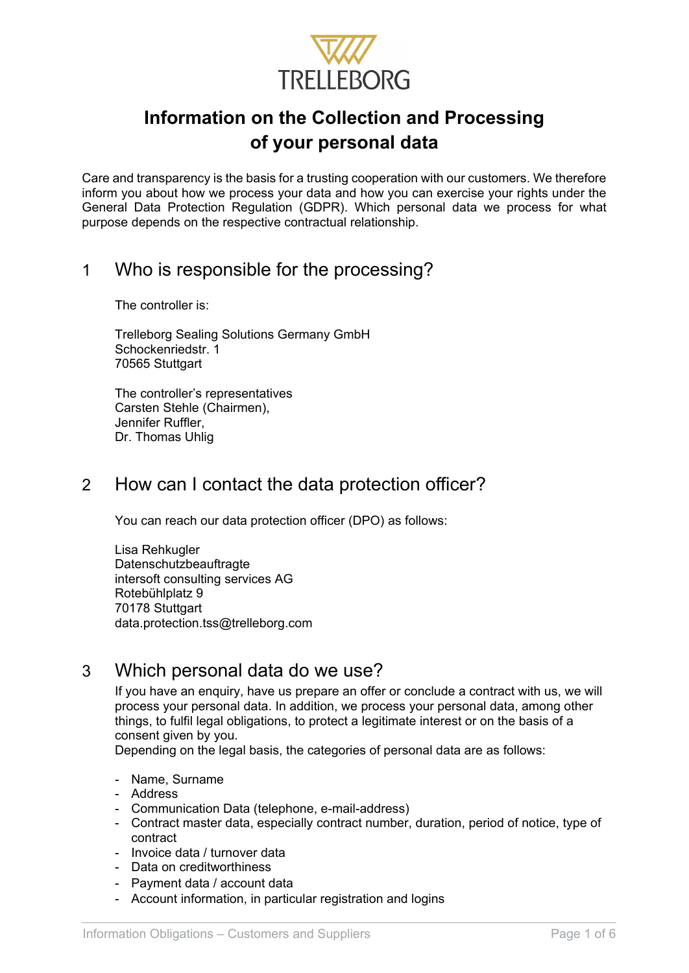

# **Information on the Collection and Processing of your personal data**

Care and transparency is the basis for a trusting cooperation with our customers. We therefore inform you about how we process your data and how you can exercise your rights under the General Data Protection Regulation (GDPR). Which personal data we process for what purpose depends on the respective contractual relationship.

# 1 Who is responsible for the processing?

The controller is:

Trelleborg Sealing Solutions Germany GmbH Schockenriedstr. 1 70565 Stuttgart

The controller's representatives Carsten Stehle (Chairmen), Jennifer Ruffler, Dr. Thomas Uhlig

### 2 How can I contact the data protection officer?

You can reach our data protection officer (DPO) as follows:

Lisa Rehkugler Datenschutzbeauftragte intersoft consulting services AG Rotebühlplatz 9 70178 Stuttgart data.protection.tss@trelleborg.com

### 3 Which personal data do we use?

If you have an enquiry, have us prepare an offer or conclude a contract with us, we will process your personal data. In addition, we process your personal data, among other things, to fulfil legal obligations, to protect a legitimate interest or on the basis of a consent given by you.

Depending on the legal basis, the categories of personal data are as follows:

- Name, Surname
- Address
- Communication Data (telephone, e-mail-address)
- Contract master data, especially contract number, duration, period of notice, type of contract
- Invoice data / turnover data
- Data on creditworthiness
- Payment data / account data
- Account information, in particular registration and logins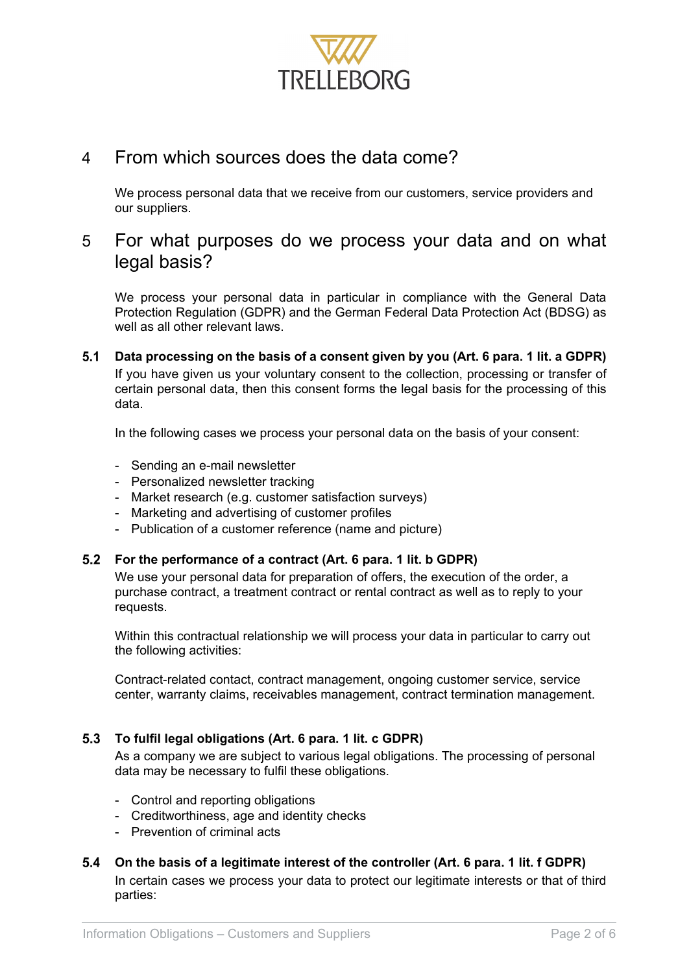

### 4 From which sources does the data come?

We process personal data that we receive from our customers, service providers and our suppliers.

### 5 For what purposes do we process your data and on what legal basis?

We process your personal data in particular in compliance with the General Data Protection Regulation (GDPR) and the German Federal Data Protection Act (BDSG) as well as all other relevant laws.

 $5.1$ **Data processing on the basis of a consent given by you (Art. 6 para. 1 lit. a GDPR)** If you have given us your voluntary consent to the collection, processing or transfer of certain personal data, then this consent forms the legal basis for the processing of this data.

In the following cases we process your personal data on the basis of your consent:

- Sending an e-mail newsletter
- Personalized newsletter tracking
- Market research (e.g. customer satisfaction surveys)
- Marketing and advertising of customer profiles
- Publication of a customer reference (name and picture)

### **For the performance of a contract (Art. 6 para. 1 lit. b GDPR)**

We use your personal data for preparation of offers, the execution of the order, a purchase contract, a treatment contract or rental contract as well as to reply to your requests.

Within this contractual relationship we will process your data in particular to carry out the following activities:

Contract-related contact, contract management, ongoing customer service, service center, warranty claims, receivables management, contract termination management.

#### **To fulfil legal obligations (Art. 6 para. 1 lit. c GDPR)**

As a company we are subject to various legal obligations. The processing of personal data may be necessary to fulfil these obligations.

- Control and reporting obligations
- Creditworthiness, age and identity checks
- Prevention of criminal acts

#### **On the basis of a legitimate interest of the controller (Art. 6 para. 1 lit. f GDPR)** In certain cases we process your data to protect our legitimate interests or that of third parties: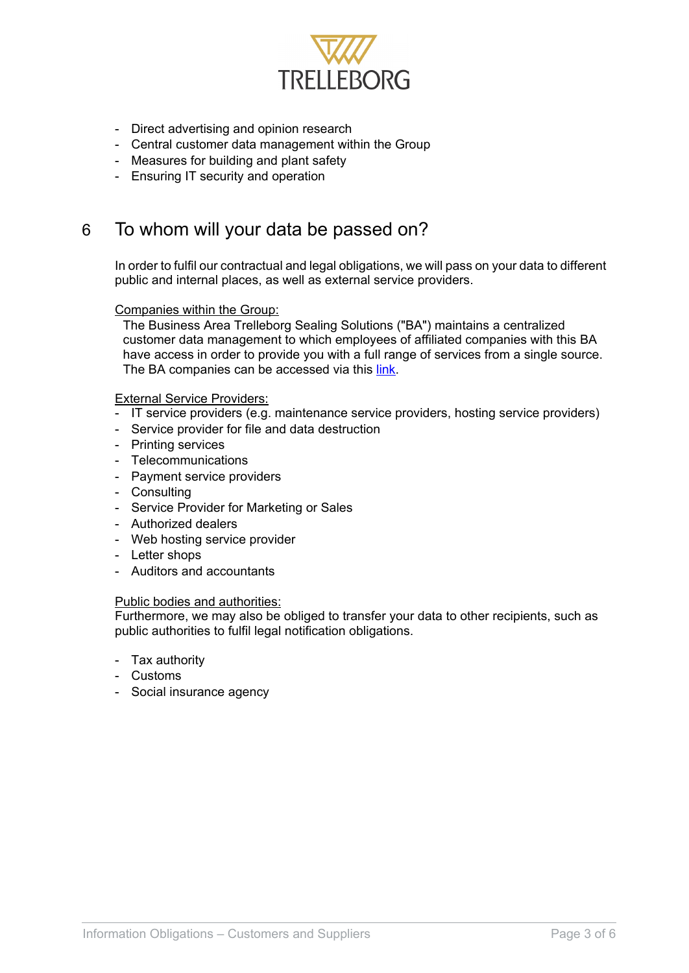

- Direct advertising and opinion research
- Central customer data management within the Group
- Measures for building and plant safety
- Ensuring IT security and operation

### 6 To whom will your data be passed on?

In order to fulfil our contractual and legal obligations, we will pass on your data to different public and internal places, as well as external service providers.

#### Companies within the Group:

The Business Area Trelleborg Sealing Solutions ("BA") maintains a centralized customer data management to which employees of affiliated companies with this BA have access in order to provide you with a full range of services from a single source. The BA companies can be accessed via this [link.](https://www.tss.trelleborg.com/en/contact/contact-form)

#### External Service Providers:

- IT service providers (e.g. maintenance service providers, hosting service providers)
- Service provider for file and data destruction
- Printing services
- Telecommunications
- Payment service providers
- Consulting
- Service Provider for Marketing or Sales
- Authorized dealers
- Web hosting service provider
- Letter shops
- Auditors and accountants

#### Public bodies and authorities:

Furthermore, we may also be obliged to transfer your data to other recipients, such as public authorities to fulfil legal notification obligations.

- Tax authority
- Customs
- Social insurance agency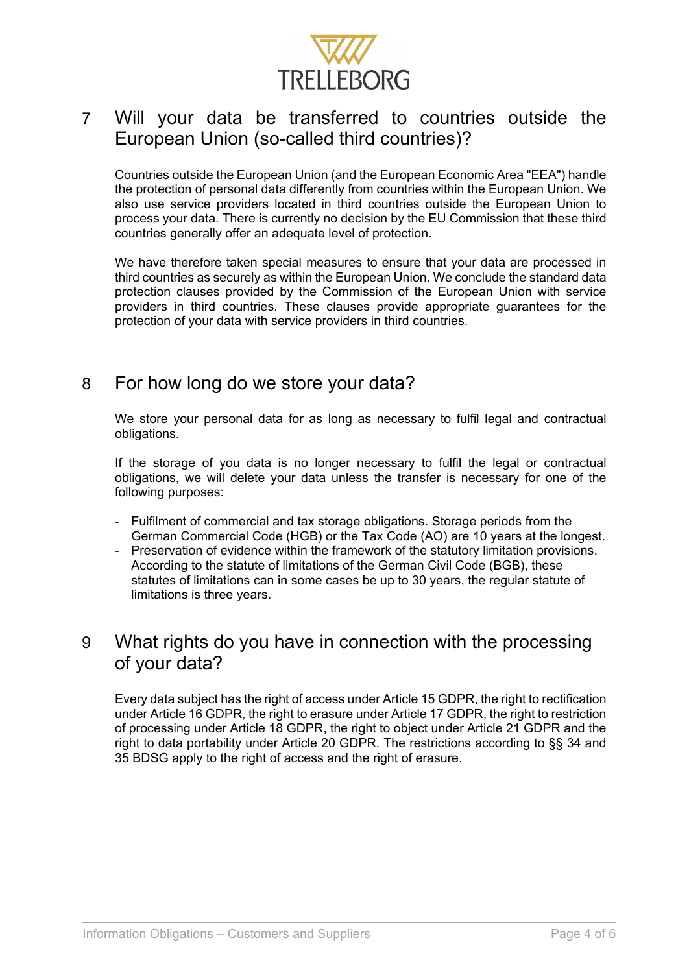

# 7 Will your data be transferred to countries outside the European Union (so-called third countries)?

Countries outside the European Union (and the European Economic Area "EEA") handle the protection of personal data differently from countries within the European Union. We also use service providers located in third countries outside the European Union to process your data. There is currently no decision by the EU Commission that these third countries generally offer an adequate level of protection.

We have therefore taken special measures to ensure that your data are processed in third countries as securely as within the European Union. We conclude the standard data protection clauses provided by the Commission of the European Union with service providers in third countries. These clauses provide appropriate guarantees for the protection of your data with service providers in third countries.

### 8 For how long do we store your data?

We store your personal data for as long as necessary to fulfil legal and contractual obligations.

If the storage of you data is no longer necessary to fulfil the legal or contractual obligations, we will delete your data unless the transfer is necessary for one of the following purposes:

- Fulfilment of commercial and tax storage obligations. Storage periods from the German Commercial Code (HGB) or the Tax Code (AO) are 10 years at the longest.
- Preservation of evidence within the framework of the statutory limitation provisions. According to the statute of limitations of the German Civil Code (BGB), these statutes of limitations can in some cases be up to 30 years, the regular statute of limitations is three years.

### 9 What rights do you have in connection with the processing of your data?

Every data subject has the right of access under Article 15 GDPR, the right to rectification under Article 16 GDPR, the right to erasure under Article 17 GDPR, the right to restriction of processing under Article 18 GDPR, the right to object under Article 21 GDPR and the right to data portability under Article 20 GDPR. The restrictions according to §§ 34 and 35 BDSG apply to the right of access and the right of erasure.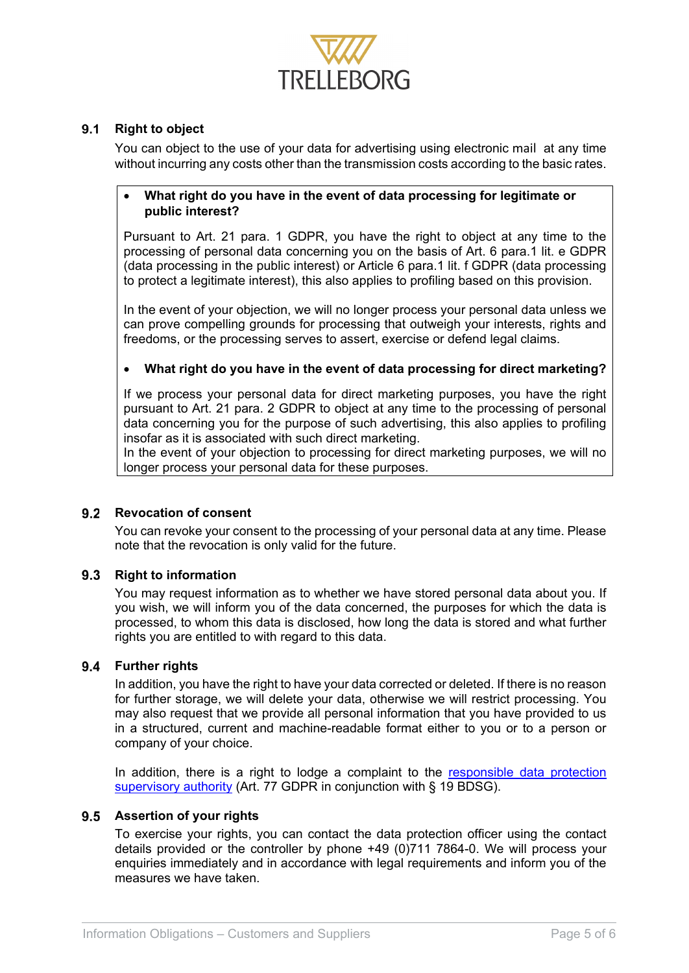

### 9.1 Right to object

You can object to the use of your data for advertising using electronic mail at any time without incurring any costs other than the transmission costs according to the basic rates.

#### • **What right do you have in the event of data processing for legitimate or public interest?**

Pursuant to Art. 21 para. 1 GDPR, you have the right to object at any time to the processing of personal data concerning you on the basis of Art. 6 para.1 lit. e GDPR (data processing in the public interest) or Article 6 para.1 lit. f GDPR (data processing to protect a legitimate interest), this also applies to profiling based on this provision.

In the event of your objection, we will no longer process your personal data unless we can prove compelling grounds for processing that outweigh your interests, rights and freedoms, or the processing serves to assert, exercise or defend legal claims.

#### • **What right do you have in the event of data processing for direct marketing?**

If we process your personal data for direct marketing purposes, you have the right pursuant to Art. 21 para. 2 GDPR to object at any time to the processing of personal data concerning you for the purpose of such advertising, this also applies to profiling insofar as it is associated with such direct marketing.

In the event of your objection to processing for direct marketing purposes, we will no longer process your personal data for these purposes.

#### **Revocation of consent**

You can revoke your consent to the processing of your personal data at any time. Please note that the revocation is only valid for the future.

#### **9.3 Right to information**

You may request information as to whether we have stored personal data about you. If you wish, we will inform you of the data concerned, the purposes for which the data is processed, to whom this data is disclosed, how long the data is stored and what further rights you are entitled to with regard to this data.

#### **Further rights**

In addition, you have the right to have your data corrected or deleted. If there is no reason for further storage, we will delete your data, otherwise we will restrict processing. You may also request that we provide all personal information that you have provided to us in a structured, current and machine-readable format either to you or to a person or company of your choice.

In addition, there is a right to lodge a complaint to the [responsible data protection](https://www.baden-wuerttemberg.datenschutz.de/beschwerde-online-einreichen/)  [supervisory authority](https://www.baden-wuerttemberg.datenschutz.de/beschwerde-online-einreichen/) (Art. 77 GDPR in conjunction with § 19 BDSG).

#### **Assertion of your rights**

To exercise your rights, you can contact the data protection officer using the contact details provided or the controller by phone +49 (0)711 7864-0. We will process your enquiries immediately and in accordance with legal requirements and inform you of the measures we have taken.